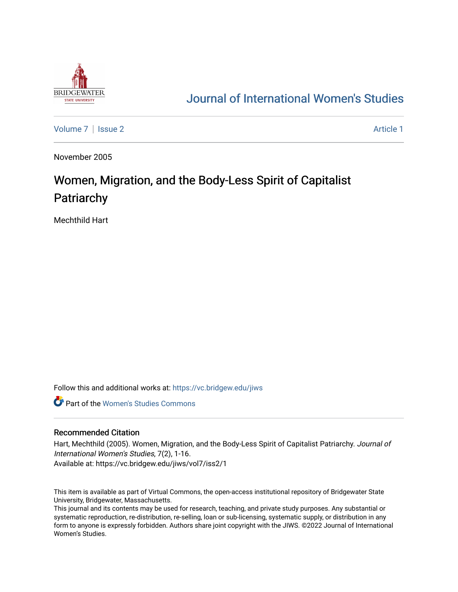

## [Journal of International Women's Studies](https://vc.bridgew.edu/jiws)

[Volume 7](https://vc.bridgew.edu/jiws/vol7) | [Issue 2](https://vc.bridgew.edu/jiws/vol7/iss2) Article 1

November 2005

# Women, Migration, and the Body-Less Spirit of Capitalist **Patriarchy**

Mechthild Hart

Follow this and additional works at: [https://vc.bridgew.edu/jiws](https://vc.bridgew.edu/jiws?utm_source=vc.bridgew.edu%2Fjiws%2Fvol7%2Fiss2%2F1&utm_medium=PDF&utm_campaign=PDFCoverPages)

**C** Part of the Women's Studies Commons

#### Recommended Citation

Hart, Mechthild (2005). Women, Migration, and the Body-Less Spirit of Capitalist Patriarchy. Journal of International Women's Studies, 7(2), 1-16. Available at: https://vc.bridgew.edu/jiws/vol7/iss2/1

This item is available as part of Virtual Commons, the open-access institutional repository of Bridgewater State University, Bridgewater, Massachusetts.

This journal and its contents may be used for research, teaching, and private study purposes. Any substantial or systematic reproduction, re-distribution, re-selling, loan or sub-licensing, systematic supply, or distribution in any form to anyone is expressly forbidden. Authors share joint copyright with the JIWS. ©2022 Journal of International Women's Studies.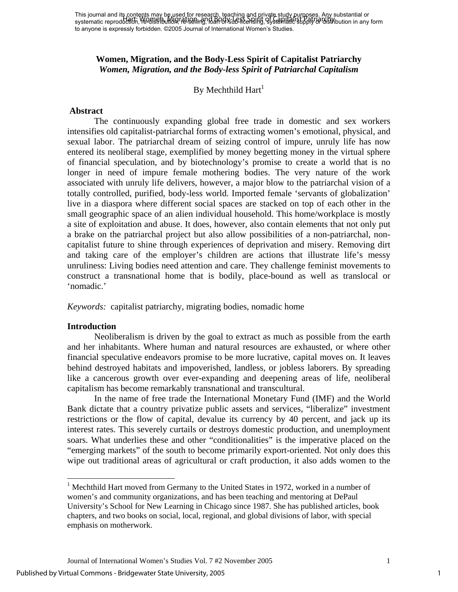## **Women, Migration, and the Body-Less Spirit of Capitalist Patriarchy**  *Women, Migration, and the Body-less Spirit of Patriarchal Capitalism*

By Mechthild  $\text{Hart}^1$ 

### **Abstract**

The continuously expanding global free trade in domestic and sex workers intensifies old capitalist-patriarchal forms of extracting women's emotional, physical, and sexual labor. The patriarchal dream of seizing control of impure, unruly life has now entered its neoliberal stage, exemplified by money begetting money in the virtual sphere of financial speculation, and by biotechnology's promise to create a world that is no longer in need of impure female mothering bodies. The very nature of the work associated with unruly life delivers, however, a major blow to the patriarchal vision of a totally controlled, purified, body-less world. Imported female 'servants of globalization' live in a diaspora where different social spaces are stacked on top of each other in the small geographic space of an alien individual household. This home/workplace is mostly a site of exploitation and abuse. It does, however, also contain elements that not only put a brake on the patriarchal project but also allow possibilities of a non-patriarchal, noncapitalist future to shine through experiences of deprivation and misery. Removing dirt and taking care of the employer's children are actions that illustrate life's messy unruliness: Living bodies need attention and care. They challenge feminist movements to construct a transnational home that is bodily, place-bound as well as translocal or 'nomadic.'

*Keywords:* capitalist patriarchy, migrating bodies, nomadic home

## **Introduction**

l

Neoliberalism is driven by the goal to extract as much as possible from the earth and her inhabitants. Where human and natural resources are exhausted, or where other financial speculative endeavors promise to be more lucrative, capital moves on. It leaves behind destroyed habitats and impoverished, landless, or jobless laborers. By spreading like a cancerous growth over ever-expanding and deepening areas of life, neoliberal capitalism has become remarkably transnational and transcultural.

In the name of free trade the International Monetary Fund (IMF) and the World Bank dictate that a country privatize public assets and services, "liberalize" investment restrictions or the flow of capital, devalue its currency by 40 percent, and jack up its interest rates. This severely curtails or destroys domestic production, and unemployment soars. What underlies these and other "conditionalities" is the imperative placed on the "emerging markets" of the south to become primarily export-oriented. Not only does this wipe out traditional areas of agricultural or craft production, it also adds women to the

<span id="page-1-0"></span><sup>&</sup>lt;sup>1</sup> Mechthild Hart moved from Germany to the United States in 1972, worked in a number of women's and community organizations, and has been teaching and mentoring at DePaul University's School for New Learning in Chicago since 1987. She has published articles, book chapters, and two books on social, local, regional, and global divisions of labor, with special emphasis on motherwork.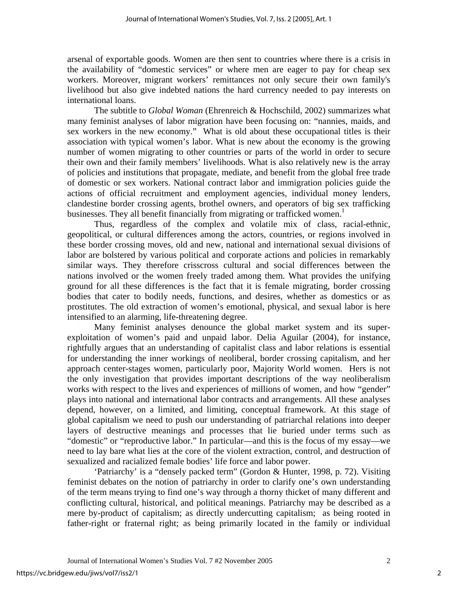arsenal of exportable goods. Women are then sent to countries where there is a crisis in the availability of "domestic services" or where men are eager to pay for cheap sex workers. Moreover, migrant workers' remittances not only secure their own family's livelihood but also give indebted nations the hard currency needed to pay interests on international loans.

The subtitle to *Global Woman* (Ehrenreich & Hochschild, 2002) summarizes what many feminist analyses of labor migration have been focusing on: "nannies, maids, and sex workers in the new economy." What is old about these occupational titles is their association with typical women's labor. What is new about the economy is the growing number of women migrating to other countries or parts of the world in order to secure their own and their family members' livelihoods. What is also relatively new is the array of policies and institutions that propagate, mediate, and benefit from the global free trade of domestic or sex workers. National contract labor and immigration policies guide the actions of official recruitment and employment agencies, individual money lenders, clandestine border crossing agents, brothel owners, and operators of big sex trafficking businesses. They all benefit financially from migrating or trafficked women.<sup>1</sup>

Thus, regardless of the complex and volatile mix of class, racial-ethnic, geopolitical, or cultural differences among the actors, countries, or regions involved in these border crossing moves, old and new, national and international sexual divisions of labor are bolstered by various political and corporate actions and policies in remarkably similar ways. They therefore crisscross cultural and social differences between the nations involved or the women freely traded among them. What provides the unifying ground for all these differences is the fact that it is female migrating, border crossing bodies that cater to bodily needs, functions, and desires, whether as domestics or as prostitutes. The old extraction of women's emotional, physical, and sexual labor is here intensified to an alarming, life-threatening degree.

Many feminist analyses denounce the global market system and its superexploitation of women's paid and unpaid labor. Delia Aguilar (2004), for instance, rightfully argues that an understanding of capitalist class and labor relations is essential for understanding the inner workings of neoliberal, border crossing capitalism, and her approach center-stages women, particularly poor, Majority World women. Hers is not the only investigation that provides important descriptions of the way neoliberalism works with respect to the lives and experiences of millions of women, and how "gender" plays into national and international labor contracts and arrangements. All these analyses depend, however, on a limited, and limiting, conceptual framework. At this stage of global capitalism we need to push our understanding of patriarchal relations into deeper layers of destructive meanings and processes that lie buried under terms such as "domestic" or "reproductive labor." In particular—and this is the focus of my essay—we need to lay bare what lies at the core of the violent extraction, control, and destruction of sexualized and racialized female bodies' life force and labor power.

'Patriarchy' is a "densely packed term" (Gordon & Hunter, 1998, p. 72). Visiting feminist debates on the notion of patriarchy in order to clarify one's own understanding of the term means trying to find one's way through a thorny thicket of many different and conflicting cultural, historical, and political meanings. Patriarchy may be described as a mere by-product of capitalism; as directly undercutting capitalism; as being rooted in father-right or fraternal right; as being primarily located in the family or individual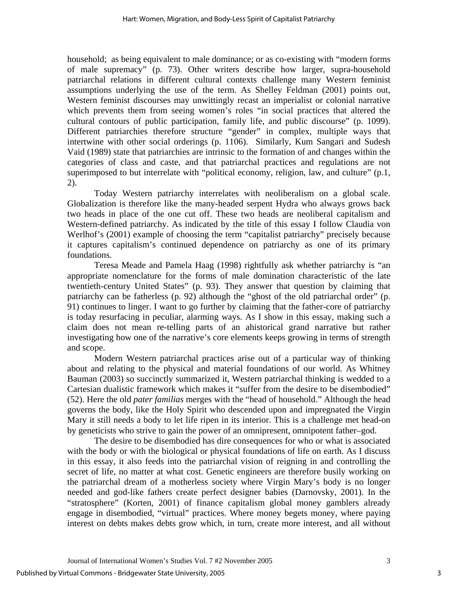household; as being equivalent to male dominance; or as co-existing with "modern forms of male supremacy" (p. 73). Other writers describe how larger, supra-household patriarchal relations in different cultural contexts challenge many Western feminist assumptions underlying the use of the term. As Shelley Feldman (2001) points out, Western feminist discourses may unwittingly recast an imperialist or colonial narrative which prevents them from seeing women's roles "in social practices that altered the cultural contours of public participation, family life, and public discourse" (p. 1099). Different patriarchies therefore structure "gender" in complex, multiple ways that intertwine with other social orderings (p. 1106). Similarly, Kum Sangari and Sudesh Vaid (1989) state that patriarchies are intrinsic to the formation of and changes within the categories of class and caste, and that patriarchal practices and regulations are not superimposed to but interrelate with "political economy, religion, law, and culture" (p.1, 2).

Today Western patriarchy interrelates with neoliberalism on a global scale. Globalization is therefore like the many-headed serpent Hydra who always grows back two heads in place of the one cut off. These two heads are neoliberal capitalism and Western-defined patriarchy. As indicated by the title of this essay I follow Claudia von Werlhof's (2001) example of choosing the term "capitalist patriarchy" precisely because it captures capitalism's continued dependence on patriarchy as one of its primary foundations.

Teresa Meade and Pamela Haag (1998) rightfully ask whether patriarchy is "an appropriate nomenclature for the forms of male domination characteristic of the late twentieth-century United States" (p. 93). They answer that question by claiming that patriarchy can be fatherless (p. 92) although the "ghost of the old patriarchal order" (p. 91) continues to linger. I want to go further by claiming that the father-core of patriarchy is today resurfacing in peculiar, alarming ways. As I show in this essay, making such a claim does not mean re-telling parts of an ahistorical grand narrative but rather investigating how one of the narrative's core elements keeps growing in terms of strength and scope.

Modern Western patriarchal practices arise out of a particular way of thinking about and relating to the physical and material foundations of our world. As Whitney Bauman (2003) so succinctly summarized it, Western patriarchal thinking is wedded to a Cartesian dualistic framework which makes it "suffer from the desire to be disembodied" (52). Here the old *pater familias* merges with the "head of household." Although the head governs the body, like the Holy Spirit who descended upon and impregnated the Virgin Mary it still needs a body to let life ripen in its interior. This is a challenge met head-on by geneticists who strive to gain the power of an omnipresent, omnipotent father–god.

The desire to be disembodied has dire consequences for who or what is associated with the body or with the biological or physical foundations of life on earth. As I discuss in this essay, it also feeds into the patriarchal vision of reigning in and controlling the secret of life, no matter at what cost. Genetic engineers are therefore busily working on the patriarchal dream of a motherless society where Virgin Mary's body is no longer needed and god-like fathers create perfect designer babies (Darnovsky, 2001). In the "stratosphere" (Korten, 2001) of finance capitalism global money gamblers already engage in disembodied, "virtual" practices. Where money begets money, where paying interest on debts makes debts grow which, in turn, create more interest, and all without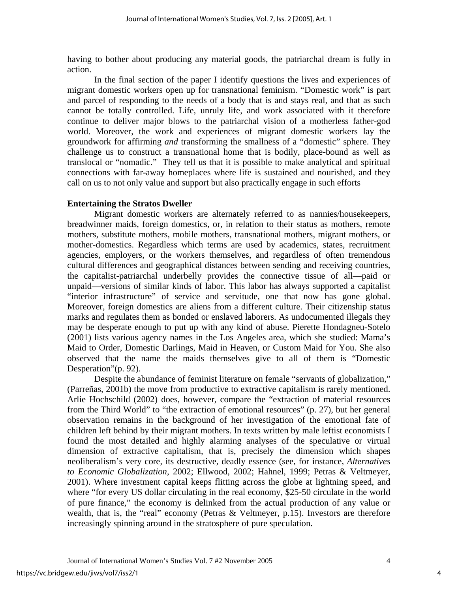having to bother about producing any material goods, the patriarchal dream is fully in action.

In the final section of the paper I identify questions the lives and experiences of migrant domestic workers open up for transnational feminism. "Domestic work" is part and parcel of responding to the needs of a body that is and stays real, and that as such cannot be totally controlled. Life, unruly life, and work associated with it therefore continue to deliver major blows to the patriarchal vision of a motherless father-god world. Moreover, the work and experiences of migrant domestic workers lay the groundwork for affirming *and* transforming the smallness of a "domestic" sphere. They challenge us to construct a transnational home that is bodily, place-bound as well as translocal or "nomadic." They tell us that it is possible to make analytical and spiritual connections with far-away homeplaces where life is sustained and nourished, and they call on us to not only value and support but also practically engage in such efforts

#### **Entertaining the Stratos Dweller**

Migrant domestic workers are alternately referred to as nannies/housekeepers, breadwinner maids, foreign domestics, or, in relation to their status as mothers, remote mothers, substitute mothers, mobile mothers, transnational mothers, migrant mothers, or mother-domestics. Regardless which terms are used by academics, states, recruitment agencies, employers, or the workers themselves, and regardless of often tremendous cultural differences and geographical distances between sending and receiving countries, the capitalist-patriarchal underbelly provides the connective tissue of all—paid or unpaid—versions of similar kinds of labor. This labor has always supported a capitalist "interior infrastructure" of service and servitude, one that now has gone global. Moreover, foreign domestics are aliens from a different culture. Their citizenship status marks and regulates them as bonded or enslaved laborers. As undocumented illegals they may be desperate enough to put up with any kind of abuse. Pierette Hondagneu-Sotelo (2001) lists various agency names in the Los Angeles area, which she studied: Mama's Maid to Order, Domestic Darlings, Maid in Heaven, or Custom Maid for You. She also observed that the name the maids themselves give to all of them is "Domestic Desperation"(p. 92).

Despite the abundance of feminist literature on female "servants of globalization," (Parreñas, 2001b) the move from productive to extractive capitalism is rarely mentioned. Arlie Hochschild (2002) does, however, compare the "extraction of material resources from the Third World" to "the extraction of emotional resources" (p. 27), but her general observation remains in the background of her investigation of the emotional fate of children left behind by their migrant mothers. In texts written by male leftist economists I found the most detailed and highly alarming analyses of the speculative or virtual dimension of extractive capitalism, that is, precisely the dimension which shapes neoliberalism's very core, its destructive, deadly essence (see, for instance, *Alternatives to Economic Globalization*, 2002; Ellwood, 2002; Hahnel, 1999; Petras & Veltmeyer, 2001). Where investment capital keeps flitting across the globe at lightning speed, and where "for every US dollar circulating in the real economy, \$25-50 circulate in the world of pure finance," the economy is delinked from the actual production of any value or wealth, that is, the "real" economy (Petras & Veltmeyer, p.15). Investors are therefore increasingly spinning around in the stratosphere of pure speculation.

4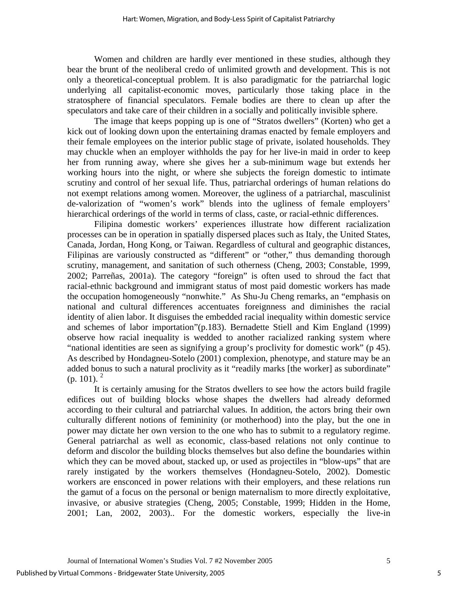Women and children are hardly ever mentioned in these studies, although they bear the brunt of the neoliberal credo of unlimited growth and development. This is not only a theoretical-conceptual problem. It is also paradigmatic for the patriarchal logic underlying all capitalist-economic moves, particularly those taking place in the stratosphere of financial speculators. Female bodies are there to clean up after the speculators and take care of their children in a socially and politically invisible sphere.

The image that keeps popping up is one of "Stratos dwellers" (Korten) who get a kick out of looking down upon the entertaining dramas enacted by female employers and their female employees on the interior public stage of private, isolated households. They may chuckle when an employer withholds the pay for her live-in maid in order to keep her from running away, where she gives her a sub-minimum wage but extends her working hours into the night, or where she subjects the foreign domestic to intimate scrutiny and control of her sexual life. Thus, patriarchal orderings of human relations do not exempt relations among women. Moreover, the ugliness of a patriarchal, masculinist de-valorization of "women's work" blends into the ugliness of female employers' hierarchical orderings of the world in terms of class, caste, or racial-ethnic differences.

Filipina domestic workers' experiences illustrate how different racialization processes can be in operation in spatially dispersed places such as Italy, the United States, Canada, Jordan, Hong Kong, or Taiwan. Regardless of cultural and geographic distances, Filipinas are variously constructed as "different" or "other," thus demanding thorough scrutiny, management, and sanitation of such otherness (Cheng, 2003; Constable, 1999, 2002; Parreñas, 2001a). The category "foreign" is often used to shroud the fact that racial-ethnic background and immigrant status of most paid domestic workers has made the occupation homogeneously "nonwhite." As Shu-Ju Cheng remarks, an "emphasis on national and cultural differences accentuates foreignness and diminishes the racial identity of alien labor. It disguises the embedded racial inequality within domestic service and schemes of labor importation"(p.183). Bernadette Stiell and Kim England (1999) observe how racial inequality is wedded to another racialized ranking system where "national identities are seen as signifying a group's proclivity for domestic work" (p 45). As described by Hondagneu-Sotelo (2001) complexion, phenotype, and stature may be an added bonus to such a natural proclivity as it "readily marks [the worker] as subordinate"  $(p. 101).$ <sup>2</sup>

It is certainly amusing for the Stratos dwellers to see how the actors build fragile edifices out of building blocks whose shapes the dwellers had already deformed according to their cultural and patriarchal values. In addition, the actors bring their own culturally different notions of femininity (or motherhood) into the play, but the one in power may dictate her own version to the one who has to submit to a regulatory regime. General patriarchal as well as economic, class-based relations not only continue to deform and discolor the building blocks themselves but also define the boundaries within which they can be moved about, stacked up, or used as projectiles in "blow-ups" that are rarely instigated by the workers themselves (Hondagneu-Sotelo, 2002). Domestic workers are ensconced in power relations with their employers, and these relations run the gamut of a focus on the personal or benign maternalism to more directly exploitative, invasive, or abusive strategies (Cheng, 2005; Constable, 1999; Hidden in the Home, 2001; Lan, 2002, 2003).. For the domestic workers, especially the live-in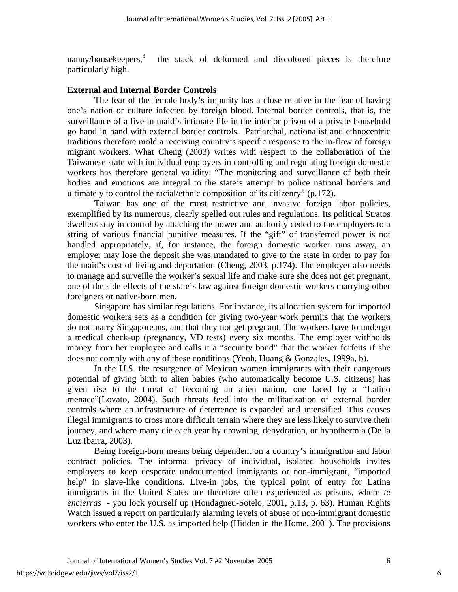nanny/housekeepers,<sup>3</sup> the stack of deformed and discolored pieces is therefore particularly high.

## **External and Internal Border Controls**

The fear of the female body's impurity has a close relative in the fear of having one's nation or culture infected by foreign blood. Internal border controls, that is, the surveillance of a live-in maid's intimate life in the interior prison of a private household go hand in hand with external border controls. Patriarchal, nationalist and ethnocentric traditions therefore mold a receiving country's specific response to the in-flow of foreign migrant workers. What Cheng (2003) writes with respect to the collaboration of the Taiwanese state with individual employers in controlling and regulating foreign domestic workers has therefore general validity: "The monitoring and surveillance of both their bodies and emotions are integral to the state's attempt to police national borders and ultimately to control the racial/ethnic composition of its citizenry" (p.172).

Taiwan has one of the most restrictive and invasive foreign labor policies, exemplified by its numerous, clearly spelled out rules and regulations. Its political Stratos dwellers stay in control by attaching the power and authority ceded to the employers to a string of various financial punitive measures. If the "gift" of transferred power is not handled appropriately, if, for instance, the foreign domestic worker runs away, an employer may lose the deposit she was mandated to give to the state in order to pay for the maid's cost of living and deportation (Cheng, 2003, p.174). The employer also needs to manage and surveille the worker's sexual life and make sure she does not get pregnant, one of the side effects of the state's law against foreign domestic workers marrying other foreigners or native-born men.

Singapore has similar regulations. For instance, its allocation system for imported domestic workers sets as a condition for giving two-year work permits that the workers do not marry Singaporeans, and that they not get pregnant. The workers have to undergo a medical check-up (pregnancy, VD tests) every six months. The employer withholds money from her employee and calls it a "security bond" that the worker forfeits if she does not comply with any of these conditions (Yeoh, Huang & Gonzales, 1999a, b).

In the U.S. the resurgence of Mexican women immigrants with their dangerous potential of giving birth to alien babies (who automatically become U.S. citizens) has given rise to the threat of becoming an alien nation, one faced by a "Latino menace"(Lovato, 2004). Such threats feed into the militarization of external border controls where an infrastructure of deterrence is expanded and intensified. This causes illegal immigrants to cross more difficult terrain where they are less likely to survive their journey, and where many die each year by drowning, dehydration, or hypothermia (De la Luz Ibarra, 2003).

Being foreign-born means being dependent on a country's immigration and labor contract policies. The informal privacy of individual, isolated households invites employers to keep desperate undocumented immigrants or non-immigrant, "imported help" in slave-like conditions. Live-in jobs, the typical point of entry for Latina immigrants in the United States are therefore often experienced as prisons, where *te encierras* - you lock yourself up (Hondagneu-Sotelo, 2001, p.13, p. 63). Human Rights Watch issued a report on particularly alarming levels of abuse of non-immigrant domestic workers who enter the U.S. as imported help (Hidden in the Home, 2001). The provisions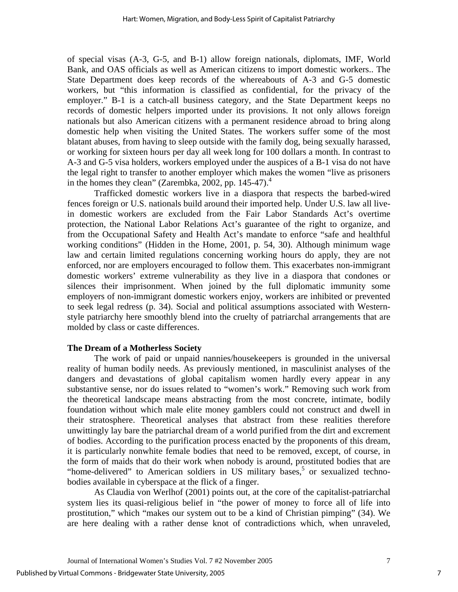of special visas (A-3, G-5, and B-1) allow foreign nationals, diplomats, IMF, World Bank, and OAS officials as well as American citizens to import domestic workers.. The State Department does keep records of the whereabouts of A-3 and G-5 domestic workers, but "this information is classified as confidential, for the privacy of the employer." B-1 is a catch-all business category, and the State Department keeps no records of domestic helpers imported under its provisions. It not only allows foreign nationals but also American citizens with a permanent residence abroad to bring along domestic help when visiting the United States. The workers suffer some of the most blatant abuses, from having to sleep outside with the family dog, being sexually harassed, or working for sixteen hours per day all week long for 100 dollars a month. In contrast to A-3 and G-5 visa holders, workers employed under the auspices of a B-1 visa do not have the legal right to transfer to another employer which makes the women "live as prisoners in the homes they clean" (Zarembka, 2002, pp. 145-47). $<sup>4</sup>$ </sup>

Trafficked domestic workers live in a diaspora that respects the barbed-wired fences foreign or U.S. nationals build around their imported help. Under U.S. law all livein domestic workers are excluded from the Fair Labor Standards Act's overtime protection, the National Labor Relations Act's guarantee of the right to organize, and from the Occupational Safety and Health Act's mandate to enforce "safe and healthful working conditions" (Hidden in the Home, 2001, p. 54, 30). Although minimum wage law and certain limited regulations concerning working hours do apply, they are not enforced, nor are employers encouraged to follow them. This exacerbates non-immigrant domestic workers' extreme vulnerability as they live in a diaspora that condones or silences their imprisonment. When joined by the full diplomatic immunity some employers of non-immigrant domestic workers enjoy, workers are inhibited or prevented to seek legal redress (p. 34). Social and political assumptions associated with Westernstyle patriarchy here smoothly blend into the cruelty of patriarchal arrangements that are molded by class or caste differences.

## **The Dream of a Motherless Society**

The work of paid or unpaid nannies/housekeepers is grounded in the universal reality of human bodily needs. As previously mentioned, in masculinist analyses of the dangers and devastations of global capitalism women hardly every appear in any substantive sense, nor do issues related to "women's work." Removing such work from the theoretical landscape means abstracting from the most concrete, intimate, bodily foundation without which male elite money gamblers could not construct and dwell in their stratosphere. Theoretical analyses that abstract from these realities therefore unwittingly lay bare the patriarchal dream of a world purified from the dirt and excrement of bodies. According to the purification process enacted by the proponents of this dream, it is particularly nonwhite female bodies that need to be removed, except, of course, in the form of maids that do their work when nobody is around, prostituted bodies that are "home-delivered" to American soldiers in US military bases, $5$  or sexualized technobodies available in cyberspace at the flick of a finger.

As Claudia von Werlhof (2001) points out, at the core of the capitalist-patriarchal system lies its quasi-religious belief in "the power of money to force all of life into prostitution," which "makes our system out to be a kind of Christian pimping" (34). We are here dealing with a rather dense knot of contradictions which, when unraveled,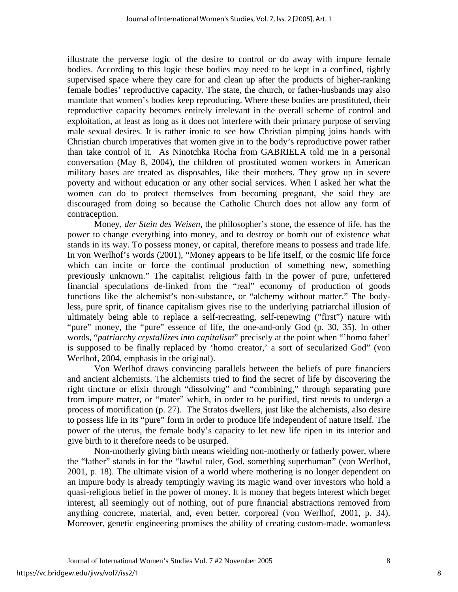illustrate the perverse logic of the desire to control or do away with impure female bodies. According to this logic these bodies may need to be kept in a confined, tightly supervised space where they care for and clean up after the products of higher-ranking female bodies' reproductive capacity. The state, the church, or father-husbands may also mandate that women's bodies keep reproducing. Where these bodies are prostituted, their reproductive capacity becomes entirely irrelevant in the overall scheme of control and exploitation, at least as long as it does not interfere with their primary purpose of serving male sexual desires. It is rather ironic to see how Christian pimping joins hands with Christian church imperatives that women give in to the body's reproductive power rather than take control of it. As Ninotchka Rocha from GABRIELA told me in a personal conversation (May 8, 2004), the children of prostituted women workers in American military bases are treated as disposables, like their mothers. They grow up in severe poverty and without education or any other social services. When I asked her what the women can do to protect themselves from becoming pregnant, she said they are discouraged from doing so because the Catholic Church does not allow any form of contraception.

Money, *der Stein des Weisen*, the philosopher's stone, the essence of life, has the power to change everything into money, and to destroy or bomb out of existence what stands in its way. To possess money, or capital, therefore means to possess and trade life. In von Werlhof's words (2001), "Money appears to be life itself, or the cosmic life force which can incite or force the continual production of something new, something previously unknown." The capitalist religious faith in the power of pure, unfettered financial speculations de-linked from the "real" economy of production of goods functions like the alchemist's non-substance, or "alchemy without matter." The bodyless, pure sprit, of finance capitalism gives rise to the underlying patriarchal illusion of ultimately being able to replace a self-recreating, self-renewing ("first") nature with "pure" money, the "pure" essence of life, the one-and-only God (p. 30, 35). In other words, "*patriarchy crystallizes into capitalism*" precisely at the point when "'homo faber' is supposed to be finally replaced by 'homo creator,' a sort of secularized God" (von Werlhof, 2004, emphasis in the original).

Von Werlhof draws convincing parallels between the beliefs of pure financiers and ancient alchemists. The alchemists tried to find the secret of life by discovering the right tincture or elixir through "dissolving" and "combining," through separating pure from impure matter, or "mater" which, in order to be purified, first needs to undergo a process of mortification (p. 27). The Stratos dwellers, just like the alchemists, also desire to possess life in its "pure" form in order to produce life independent of nature itself. The power of the uterus, the female body's capacity to let new life ripen in its interior and give birth to it therefore needs to be usurped.

Non-motherly giving birth means wielding non-motherly or fatherly power, where the "father" stands in for the "lawful ruler, God, something superhuman" (von Werlhof, 2001, p. 18). The ultimate vision of a world where mothering is no longer dependent on an impure body is already temptingly waving its magic wand over investors who hold a quasi-religious belief in the power of money. It is money that begets interest which beget interest, all seemingly out of nothing, out of pure financial abstractions removed from anything concrete, material, and, even better, corporeal (von Werlhof, 2001, p. 34). Moreover, genetic engineering promises the ability of creating custom-made, womanless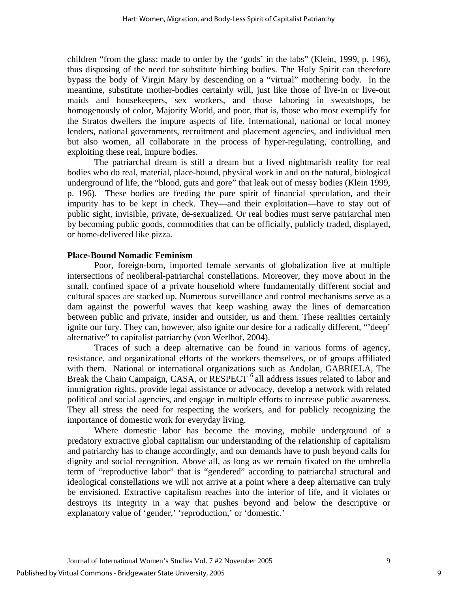children "from the glass: made to order by the 'gods' in the labs" (Klein, 1999, p. 196), thus disposing of the need for substitute birthing bodies. The Holy Spirit can therefore bypass the body of Virgin Mary by descending on a "virtual" mothering body. In the meantime, substitute mother-bodies certainly will, just like those of live-in or live-out maids and housekeepers, sex workers, and those laboring in sweatshops, be homogenously of color, Majority World, and poor, that is, those who most exemplify for the Stratos dwellers the impure aspects of life. International, national or local money lenders, national governments, recruitment and placement agencies, and individual men but also women, all collaborate in the process of hyper-regulating, controlling, and exploiting these real, impure bodies.

The patriarchal dream is still a dream but a lived nightmarish reality for real bodies who do real, material, place-bound, physical work in and on the natural, biological underground of life, the "blood, guts and gore" that leak out of messy bodies (Klein 1999, p. 196). These bodies are feeding the pure spirit of financial speculation, and their impurity has to be kept in check. They—and their exploitation—have to stay out of public sight, invisible, private, de-sexualized. Or real bodies must serve patriarchal men by becoming public goods, commodities that can be officially, publicly traded, displayed, or home-delivered like pizza.

#### **Place-Bound Nomadic Feminism**

Poor, foreign-born, imported female servants of globalization live at multiple intersections of neoliberal-patriarchal constellations. Moreover, they move about in the small, confined space of a private household where fundamentally different social and cultural spaces are stacked up. Numerous surveillance and control mechanisms serve as a dam against the powerful waves that keep washing away the lines of demarcation between public and private, insider and outsider, us and them. These realities certainly ignite our fury. They can, however, also ignite our desire for a radically different, "'deep' alternative" to capitalist patriarchy (von Werlhof, 2004).

Traces of such a deep alternative can be found in various forms of agency, resistance, and organizational efforts of the workers themselves, or of groups affiliated with them. National or international organizations such as Andolan, GABRIELA, The Break the Chain Campaign, CASA, or RESPECT<sup>6</sup> all address issues related to labor and immigration rights, provide legal assistance or advocacy, develop a network with related political and social agencies, and engage in multiple efforts to increase public awareness. They all stress the need for respecting the workers, and for publicly recognizing the importance of domestic work for everyday living.

Where domestic labor has become the moving, mobile underground of a predatory extractive global capitalism our understanding of the relationship of capitalism and patriarchy has to change accordingly, and our demands have to push beyond calls for dignity and social recognition. Above all, as long as we remain fixated on the umbrella term of "reproductive labor" that is "gendered" according to patriarchal structural and ideological constellations we will not arrive at a point where a deep alternative can truly be envisioned. Extractive capitalism reaches into the interior of life, and it violates or destroys its integrity in a way that pushes beyond and below the descriptive or explanatory value of 'gender,' 'reproduction,' or 'domestic.'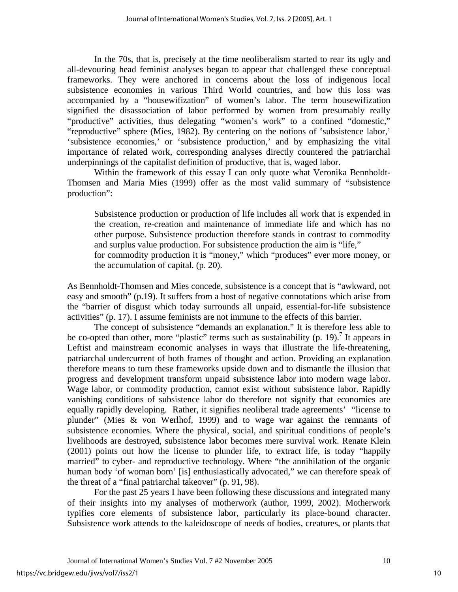In the 70s, that is, precisely at the time neoliberalism started to rear its ugly and all-devouring head feminist analyses began to appear that challenged these conceptual frameworks. They were anchored in concerns about the loss of indigenous local subsistence economies in various Third World countries, and how this loss was accompanied by a "housewifization" of women's labor. The term housewifization signified the disassociation of labor performed by women from presumably really "productive" activities, thus delegating "women's work" to a confined "domestic," "reproductive" sphere (Mies, 1982). By centering on the notions of 'subsistence labor,' 'subsistence economies,' or 'subsistence production,' and by emphasizing the vital importance of related work, corresponding analyses directly countered the patriarchal underpinnings of the capitalist definition of productive, that is, waged labor.

Within the framework of this essay I can only quote what Veronika Bennholdt-Thomsen and Maria Mies (1999) offer as the most valid summary of "subsistence production":

Subsistence production or production of life includes all work that is expended in the creation, re-creation and maintenance of immediate life and which has no other purpose. Subsistence production therefore stands in contrast to commodity and surplus value production. For subsistence production the aim is "life," for commodity production it is "money," which "produces" ever more money, or the accumulation of capital. (p. 20).

As Bennholdt-Thomsen and Mies concede, subsistence is a concept that is "awkward, not easy and smooth" (p.19). It suffers from a host of negative connotations which arise from the "barrier of disgust which today surrounds all unpaid, essential-for-life subsistence activities" (p. 17). I assume feminists are not immune to the effects of this barrier.

The concept of subsistence "demands an explanation." It is therefore less able to be co-opted than other, more "plastic" terms such as sustainability (p. 19).<sup>7</sup> It appears in Leftist and mainstream economic analyses in ways that illustrate the life-threatening, patriarchal undercurrent of both frames of thought and action. Providing an explanation therefore means to turn these frameworks upside down and to dismantle the illusion that progress and development transform unpaid subsistence labor into modern wage labor. Wage labor, or commodity production, cannot exist without subsistence labor. Rapidly vanishing conditions of subsistence labor do therefore not signify that economies are equally rapidly developing. Rather, it signifies neoliberal trade agreements' "license to plunder" (Mies & von Werlhof, 1999) and to wage war against the remnants of subsistence economies. Where the physical, social, and spiritual conditions of people's livelihoods are destroyed, subsistence labor becomes mere survival work. Renate Klein (2001) points out how the license to plunder life, to extract life, is today "happily married" to cyber- and reproductive technology. Where "the annihilation of the organic human body 'of woman born' [is] enthusiastically advocated," we can therefore speak of the threat of a "final patriarchal takeover" (p. 91, 98).

For the past 25 years I have been following these discussions and integrated many of their insights into my analyses of motherwork (author, 1999, 2002). Motherwork typifies core elements of subsistence labor, particularly its place-bound character. Subsistence work attends to the kaleidoscope of needs of bodies, creatures, or plants that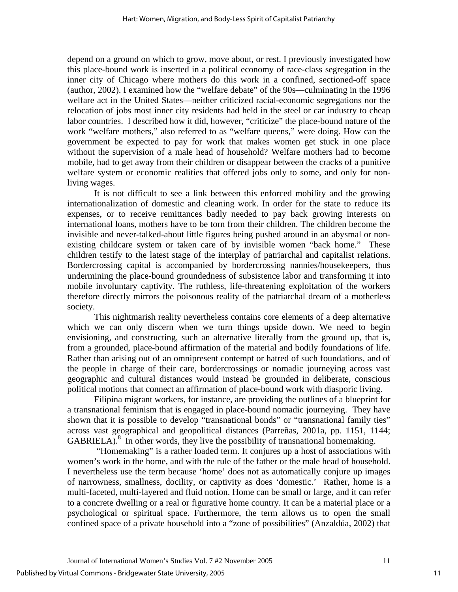depend on a ground on which to grow, move about, or rest. I previously investigated how this place-bound work is inserted in a political economy of race-class segregation in the inner city of Chicago where mothers do this work in a confined, sectioned-off space (author, 2002). I examined how the "welfare debate" of the 90s—culminating in the 1996 welfare act in the United States—neither criticized racial-economic segregations nor the relocation of jobs most inner city residents had held in the steel or car industry to cheap labor countries. I described how it did, however, "criticize" the place-bound nature of the work "welfare mothers," also referred to as "welfare queens," were doing. How can the government be expected to pay for work that makes women get stuck in one place without the supervision of a male head of household? Welfare mothers had to become mobile, had to get away from their children or disappear between the cracks of a punitive welfare system or economic realities that offered jobs only to some, and only for nonliving wages.

It is not difficult to see a link between this enforced mobility and the growing internationalization of domestic and cleaning work. In order for the state to reduce its expenses, or to receive remittances badly needed to pay back growing interests on international loans, mothers have to be torn from their children. The children become the invisible and never-talked-about little figures being pushed around in an abysmal or nonexisting childcare system or taken care of by invisible women "back home." These children testify to the latest stage of the interplay of patriarchal and capitalist relations. Bordercrossing capital is accompanied by bordercrossing nannies/housekeepers, thus undermining the place-bound groundedness of subsistence labor and transforming it into mobile involuntary captivity. The ruthless, life-threatening exploitation of the workers therefore directly mirrors the poisonous reality of the patriarchal dream of a motherless society.

This nightmarish reality nevertheless contains core elements of a deep alternative which we can only discern when we turn things upside down. We need to begin envisioning, and constructing, such an alternative literally from the ground up, that is, from a grounded, place-bound affirmation of the material and bodily foundations of life. Rather than arising out of an omnipresent contempt or hatred of such foundations, and of the people in charge of their care, bordercrossings or nomadic journeying across vast geographic and cultural distances would instead be grounded in deliberate, conscious political motions that connect an affirmation of place-bound work with diasporic living.

Filipina migrant workers, for instance, are providing the outlines of a blueprint for a transnational feminism that is engaged in place-bound nomadic journeying. They have shown that it is possible to develop "transnational bonds" or "transnational family ties" across vast geographical and geopolitical distances (Parreñas, 2001a, pp. 1151, 1144;  $GABRIELA$ <sup>8</sup>. In other words, they live the possibility of transnational homemaking.

 "Homemaking" is a rather loaded term. It conjures up a host of associations with women's work in the home, and with the rule of the father or the male head of household. I nevertheless use the term because 'home' does not as automatically conjure up images of narrowness, smallness, docility, or captivity as does 'domestic.' Rather, home is a multi-faceted, multi-layered and fluid notion. Home can be small or large, and it can refer to a concrete dwelling or a real or figurative home country. It can be a material place or a psychological or spiritual space. Furthermore, the term allows us to open the small confined space of a private household into a "zone of possibilities" (Anzaldúa, 2002) that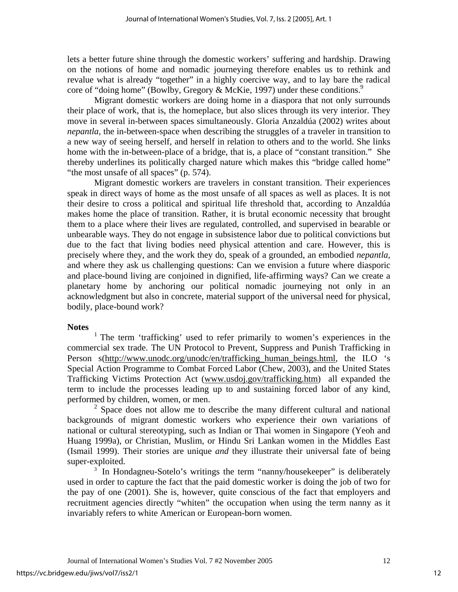lets a better future shine through the domestic workers' suffering and hardship. Drawing on the notions of home and nomadic journeying therefore enables us to rethink and revalue what is already "together" in a highly coercive way, and to lay bare the radical core of "doing home" (Bowlby, Gregory & McKie, 1997) under these conditions.<sup>9</sup>

Migrant domestic workers are doing home in a diaspora that not only surrounds their place of work, that is, the homeplace, but also slices through its very interior. They move in several in-between spaces simultaneously. Gloria Anzaldúa (2002) writes about *nepantla,* the in-between-space when describing the struggles of a traveler in transition to a new way of seeing herself, and herself in relation to others and to the world. She links home with the in-between-place of a bridge, that is, a place of "constant transition." She thereby underlines its politically charged nature which makes this "bridge called home" "the most unsafe of all spaces" (p. 574).

Migrant domestic workers are travelers in constant transition. Their experiences speak in direct ways of home as the most unsafe of all spaces as well as places. It is not their desire to cross a political and spiritual life threshold that, according to Anzaldúa makes home the place of transition. Rather, it is brutal economic necessity that brought them to a place where their lives are regulated, controlled, and supervised in bearable or unbearable ways. They do not engage in subsistence labor due to political convictions but due to the fact that living bodies need physical attention and care. However, this is precisely where they, and the work they do, speak of a grounded, an embodied *nepantla,* and where they ask us challenging questions: Can we envision a future where diasporic and place-bound living are conjoined in dignified, life-affirming ways? Can we create a planetary home by anchoring our political nomadic journeying not only in an acknowledgment but also in concrete, material support of the universal need for physical, bodily, place-bound work?

#### **Notes**

<sup>1</sup> The term 'trafficking' used to refer primarily to women's experiences in the commercial sex trade. The UN Protocol to Prevent, Suppress and Punish Trafficking in Person s(http://www.unodc.org/unodc/en/trafficking human beings.html, the ILO 's Special Action Programme to Combat Forced Labor (Chew, 2003), and the United States Trafficking Victims Protection Act [\(www.usdoj.gov/trafficking.htm](http://www.usdoj.gov/trafficking.htm)) all expanded the term to include the processes leading up to and sustaining forced labor of any kind, performed by children, women, or men.

 $2^2$  Space does not allow me to describe the many different cultural and national backgrounds of migrant domestic workers who experience their own variations of national or cultural stereotyping, such as Indian or Thai women in Singapore (Yeoh and Huang 1999a), or Christian, Muslim, or Hindu Sri Lankan women in the Middles East (Ismail 1999). Their stories are unique *and* they illustrate their universal fate of being super-exploited.

<sup>3</sup> In Hondagneu-Sotelo's writings the term "nanny/housekeeper" is deliberately used in order to capture the fact that the paid domestic worker is doing the job of two for the pay of one (2001). She is, however, quite conscious of the fact that employers and recruitment agencies directly "whiten" the occupation when using the term nanny as it invariably refers to white American or European-born women.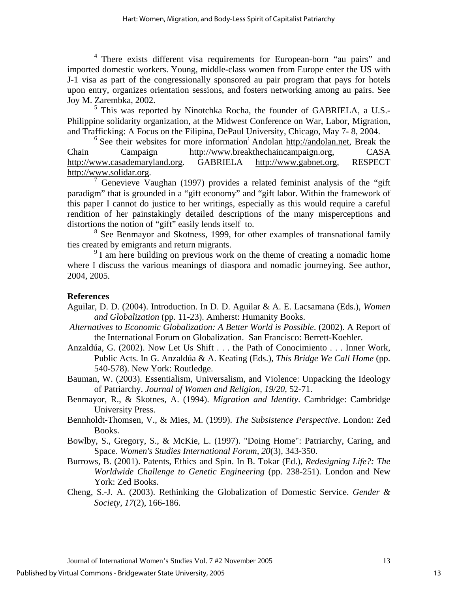<sup>4</sup> There exists different visa requirements for European-born "au pairs" and imported domestic workers. Young, middle-class women from Europe enter the US with J-1 visa as part of the congressionally sponsored au pair program that pays for hotels upon entry, organizes orientation sessions, and fosters networking among au pairs. See Joy M. Zarembka, 2002.

<sup>5</sup> This was reported by Ninotchka Rocha, the founder of GABRIELA, a U.S.-Philippine solidarity organization, at the Midwest Conference on War, Labor, Migration, and Trafficking: A Focus on the Filipina, DePaul University, Chicago, May 7- 8, 2004.

<sup>6</sup> See their websites for more information: Andolan [http://andolan.net,](http://andolan.net/) Break the Chain Campaign [http://www.breakthechaincampaign.org](http://www.breakthechaincampaign.org/), CASA [http://www.casademaryland.org.](http://www.casademaryland.org/) GABRIELA [http://www.gabnet.org,](http://www.gabnet.org/) RESPECT [http://www.solidar.org](http://www.solidar.org/). [7](http://www.solidar.org/)

<sup>7</sup> Genevieve Vaughan (1997) provides a related feminist analysis of the "gift" paradigm" that is grounded in a "gift economy" and "gift labor. Within the framework of this paper I cannot do justice to her writings, especially as this would require a careful rendition of her painstakingly detailed descriptions of the many misperceptions and distortions the notion of "gift" easily lends itself to.

<sup>8</sup> See Benmayor and Skotness, 1999, for other examples of transnational family ties created by emigrants and return migrants.

<sup>9</sup> I am here building on previous work on the theme of creating a nomadic home where I discuss the various meanings of diaspora and nomadic journeying. See author, 2004, 2005.

## **References**

- Aguilar, D. D. (2004). Introduction. In D. D. Aguilar & A. E. Lacsamana (Eds.), *Women and Globalization* (pp. 11-23). Amherst: Humanity Books.
- *Alternatives to Economic Globalization: A Better World is Possible*. (2002). A Report of the International Forum on Globalization. San Francisco: Berrett-Koehler.
- Anzaldúa, G. (2002). Now Let Us Shift . . . the Path of Conocimiento . . . Inner Work, Public Acts. In G. Anzaldúa & A. Keating (Eds.), *This Bridge We Call Home* (pp. 540-578). New York: Routledge.
- Bauman, W. (2003). Essentialism, Universalism, and Violence: Unpacking the Ideology of Patriarchy. *Journal of Women and Religion, 19/20*, 52-71.
- Benmayor, R., & Skotnes, A. (1994). *Migration and Identity*. Cambridge: Cambridge University Press.
- Bennholdt-Thomsen, V., & Mies, M. (1999). *The Subsistence Perspective*. London: Zed Books.
- Bowlby, S., Gregory, S., & McKie, L. (1997). "Doing Home": Patriarchy, Caring, and Space. *Women's Studies International Forum, 20*(3), 343-350.
- Burrows, B. (2001). Patents, Ethics and Spin. In B. Tokar (Ed.), *Redesigning Life?: The Worldwide Challenge to Genetic Engineering* (pp. 238-251). London and New York: Zed Books.
- Cheng, S.-J. A. (2003). Rethinking the Globalization of Domestic Service. *Gender & Society, 17*(2), 166-186.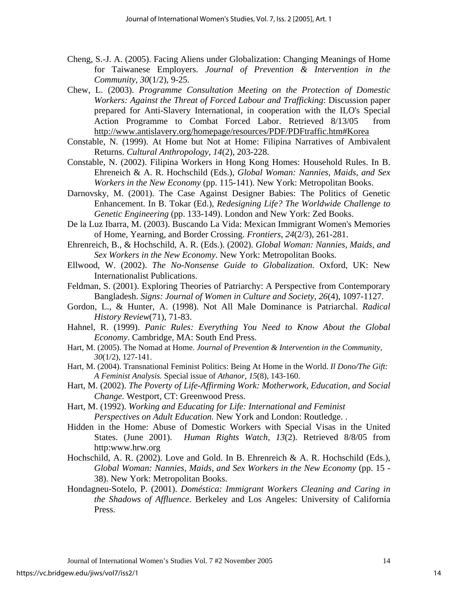- Cheng, S.-J. A. (2005). Facing Aliens under Globalization: Changing Meanings of Home for Taiwanese Employers. *Journal of Prevention & Intervention in the Community, 30*(1/2), 9-25.
- Chew, L. (2003). *Programme Consultation Meeting on the Protection of Domestic Workers: Against the Threat of Forced Labour and Trafficking*: Discussion paper prepared for Anti-Slavery International, in cooperation with the ILO's Special Action Programme to Combat Forced Labor. Retrieved 8/13/05 from http://www.antislavery.org/homepage/resources/PDF/PDFtraffic.htm#Korea
- Constable, N. (1999). At Home but Not at Home: Filipina Narratives of Ambivalent Returns. *Cultural Anthropology, 14*(2), 203-228.
- Constable, N. (2002). Filipina Workers in Hong Kong Homes: Household Rules. In B. Ehreneich & A. R. Hochschild (Eds.), *Global Woman: Nannies, Maids, and Sex Workers in the New Economy* (pp. 115-141). New York: Metropolitan Books.
- Darnovsky, M. (2001). The Case Against Designer Babies: The Politics of Genetic Enhancement. In B. Tokar (Ed.), *Redesigning Life? The Worldwide Challenge to Genetic Engineering* (pp. 133-149). London and New York: Zed Books.
- De la Luz Ibarra, M. (2003). Buscando La Vida: Mexican Immigrant Women's Memories of Home, Yearning, and Border Crossing. *Frontiers, 24*(2/3), 261-281.
- Ehrenreich, B., & Hochschild, A. R. (Eds.). (2002). *Global Woman: Nannies, Maids, and Sex Workers in the New Economy*. New York: Metropolitan Books.
- Ellwood, W. (2002). *The No-Nonsense Guide to Globalization*. Oxford, UK: New Internationalist Publications.
- Feldman, S. (2001). Exploring Theories of Patriarchy: A Perspective from Contemporary Bangladesh. *Signs: Journal of Women in Culture and Society, 26*(4), 1097-1127.
- Gordon, L., & Hunter, A. (1998). Not All Male Dominance is Patriarchal. *Radical History Review*(71), 71-83.
- Hahnel, R. (1999). *Panic Rules: Everything You Need to Know About the Global Economy*. Cambridge, MA: South End Press.
- Hart, M. (2005). The Nomad at Home. *Journal of Prevention & Intervention in the Community, 30*(1/2), 127-141.
- Hart, M. (2004). Transnational Feminist Politics: Being At Home in the World. *Il Dono/The Gift: A Feminist Analysis.* Special issue of *Athanor*, *15*(8), 143-160.
- Hart, M. (2002). *The Poverty of Life-Affirming Work: Motherwork, Education, and Social Change.* Westport, CT: Greenwood Press.
- Hart, M. (1992). *Working and Educating for Life: International and Feminist Perspectives on Adult Education.* New York and London: Routledge. .
- Hidden in the Home: Abuse of Domestic Workers with Special Visas in the United States. (June 2001). *Human Rights Watch, 13*(2). Retrieved 8/8/05 from http:www.hrw.org
- Hochschild, A. R. (2002). Love and Gold. In B. Ehrenreich & A. R. Hochschild (Eds.), *Global Woman: Nannies, Maids, and Sex Workers in the New Economy* (pp. 15 - 38). New York: Metropolitan Books.
- Hondagneu-Sotelo, P. (2001). *Doméstica: Immigrant Workers Cleaning and Caring in the Shadows of Affluence*. Berkeley and Los Angeles: University of California Press.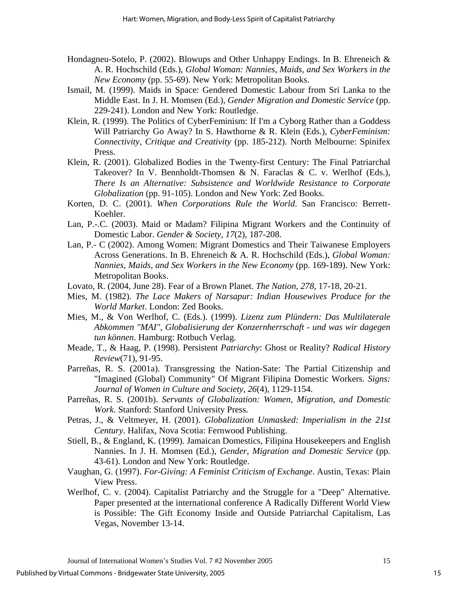- Hondagneu-Sotelo, P. (2002). Blowups and Other Unhappy Endings. In B. Ehreneich & A. R. Hochschild (Eds.), *Global Woman: Nannies, Maids, and Sex Workers in the New Economy* (pp. 55-69). New York: Metropolitan Books.
- Ismail, M. (1999). Maids in Space: Gendered Domestic Labour from Sri Lanka to the Middle East. In J. H. Momsen (Ed.), *Gender Migration and Domestic Service* (pp. 229-241). London and New York: Routledge.
- Klein, R. (1999). The Politics of CyberFeminism: If I'm a Cyborg Rather than a Goddess Will Patriarchy Go Away? In S. Hawthorne & R. Klein (Eds.), *CyberFeminism: Connectivity, Critique and Creativity* (pp. 185-212). North Melbourne: Spinifex Press.
- Klein, R. (2001). Globalized Bodies in the Twenty-first Century: The Final Patriarchal Takeover? In V. Bennholdt-Thomsen & N. Faraclas & C. v. Werlhof (Eds.), *There Is an Alternative: Subsistence and Worldwide Resistance to Corporate Globalization* (pp. 91-105). London and New York: Zed Books.
- Korten, D. C. (2001). *When Corporations Rule the World*. San Francisco: Berrett-Koehler.
- Lan, P.-.C. (2003). Maid or Madam? Filipina Migrant Workers and the Continuity of Domestic Labor. *Gender & Society, 17*(2), 187-208.
- Lan, P.- C (2002). Among Women: Migrant Domestics and Their Taiwanese Employers Across Generations. In B. Ehreneich & A. R. Hochschild (Eds.), *Global Woman: Nannies, Maids, and Sex Workers in the New Economy* (pp. 169-189). New York: Metropolitan Books.
- Lovato, R. (2004, June 28). Fear of a Brown Planet. *The Nation, 278,* 17-18, 20-21.
- Mies, M. (1982). *The Lace Makers of Narsapur: Indian Housewives Produce for the World Market*. London: Zed Books.
- Mies, M., & Von Werlhof, C. (Eds.). (1999). *Lizenz zum Plündern: Das Multilaterale Abkommen "MAI", Globalisierung der Konzernherrschaft - und was wir dagegen tun können*. Hamburg: Rotbuch Verlag.
- Meade, T., & Haag, P. (1998). Persistent *Patriarchy*: Ghost or Reality? *Radical History Review*(71), 91-95.
- Parreñas, R. S. (2001a). Transgressing the Nation-Sate: The Partial Citizenship and "Imagined (Global) Community" Of Migrant Filipina Domestic Workers. *Signs: Journal of Women in Culture and Society, 26*(4), 1129-1154.
- Parreñas, R. S. (2001b). *Servants of Globalization: Women, Migration, and Domestic Work*. Stanford: Stanford University Press.
- Petras, J., & Veltmeyer, H. (2001). *Globalization Unmasked: Imperialism in the 21st Century*. Halifax, Nova Scotia: Fernwood Publishing.
- Stiell, B., & England, K. (1999). Jamaican Domestics, Filipina Housekeepers and English Nannies. In J. H. Momsen (Ed.), *Gender, Migration and Domestic Service* (pp. 43-61). London and New York: Routledge.
- Vaughan, G. (1997). *For-Giving: A Feminist Criticism of Exchange*. Austin, Texas: Plain View Press.
- Werlhof, C. v. (2004). Capitalist Patriarchy and the Struggle for a "Deep" Alternative*.* Paper presented at the international conference A Radically Different World View is Possible: The Gift Economy Inside and Outside Patriarchal Capitalism, Las Vegas, November 13-14.